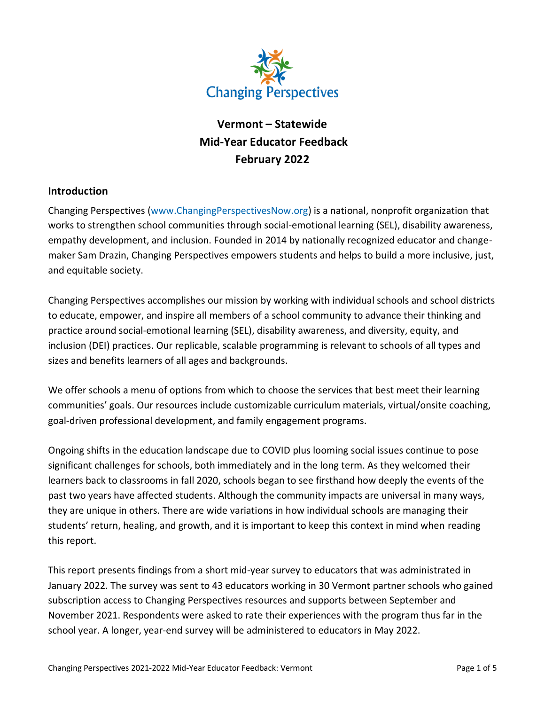

# **Vermont – Statewide Mid-Year Educator Feedback February 2022**

### **Introduction**

Changing Perspectives [\(www.ChangingPerspectivesNow.org\)](http://www.changingperspectivesnow.org/) is a national, nonprofit organization that works to strengthen school communities through social-emotional learning (SEL), disability awareness, empathy development, and inclusion. Founded in 2014 by nationally recognized educator and changemaker Sam Drazin, Changing Perspectives empowers students and helps to build a more inclusive, just, and equitable society.

Changing Perspectives accomplishes our mission by working with individual schools and school districts to educate, empower, and inspire all members of a school community to advance their thinking and practice around social-emotional learning (SEL), disability awareness, and diversity, equity, and inclusion (DEI) practices. Our replicable, scalable programming is relevant to schools of all types and sizes and benefits learners of all ages and backgrounds.

We offer schools a menu of options from which to choose the services that best meet their learning communities' goals. Our resources include customizable curriculum materials, virtual/onsite coaching, goal-driven professional development, and family engagement programs.

Ongoing shifts in the education landscape due to COVID plus looming social issues continue to pose significant challenges for schools, both immediately and in the long term. As they welcomed their learners back to classrooms in fall 2020, schools began to see firsthand how deeply the events of the past two years have affected students. Although the community impacts are universal in many ways, they are unique in others. There are wide variations in how individual schools are managing their students' return, healing, and growth, and it is important to keep this context in mind when reading this report.

This report presents findings from a short mid-year survey to educators that was administrated in January 2022. The survey was sent to 43 educators working in 30 Vermont partner schools who gained subscription access to Changing Perspectives resources and supports between September and November 2021. Respondents were asked to rate their experiences with the program thus far in the school year. A longer, year-end survey will be administered to educators in May 2022.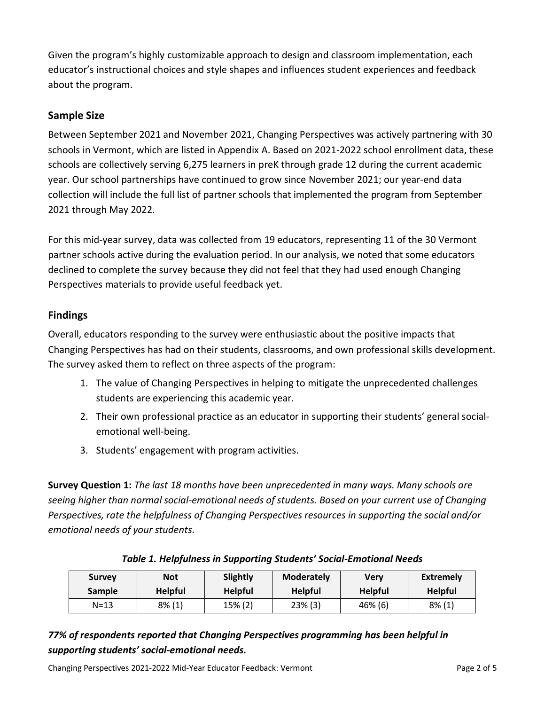Given the program's highly customizable approach to design and classroom implementation, each educator's instructional choices and style shapes and influences student experiences and feedback about the program.

## **Sample Size**

Between September 2021 and November 2021, Changing Perspectives was actively partnering with 30 schools in Vermont, which are listed in Appendix A. Based on 2021-2022 school enrollment data, these schools are collectively serving 6,275 learners in preK through grade 12 during the current academic year. Our school partnerships have continued to grow since November 2021; our year-end data collection will include the full list of partner schools that implemented the program from September 2021 through May 2022.

For this mid-year survey, data was collected from 19 educators, representing 11 of the 30 Vermont partner schools active during the evaluation period. In our analysis, we noted that some educators declined to complete the survey because they did not feel that they had used enough Changing Perspectives materials to provide useful feedback yet.

# **Findings**

Overall, educators responding to the survey were enthusiastic about the positive impacts that Changing Perspectives has had on their students, classrooms, and own professional skills development. The survey asked them to reflect on three aspects of the program:

- 1. The value of Changing Perspectives in helping to mitigate the unprecedented challenges students are experiencing this academic year.
- 2. Their own professional practice as an educator in supporting their students' general socialemotional well-being.
- 3. Students' engagement with program activities.

**Survey Question 1:** *The last 18 months have been unprecedented in many ways. Many schools are seeing higher than normal social-emotional needs of students. Based on your current use of Changing Perspectives, rate the helpfulness of Changing Perspectives resources in supporting the social and/or emotional needs of your students.*

| <b>Survey</b> | <b>Not</b>     | Slightly       | <b>Moderately</b> | Verv           | <b>Extremely</b> |
|---------------|----------------|----------------|-------------------|----------------|------------------|
| <b>Sample</b> | <b>Helpful</b> | <b>Helpful</b> | <b>Helpful</b>    | <b>Helpful</b> | <b>Helpful</b>   |
| $N = 13$      | $8\%$ (1)      | 15% (2)        | $23\%$ (3)        | 46% (6)        | $8\%$ (1)        |

### *Table 1. Helpfulness in Supporting Students' Social-Emotional Needs*

# *77% of respondents reported that Changing Perspectives programming has been helpful in supporting students' social-emotional needs.*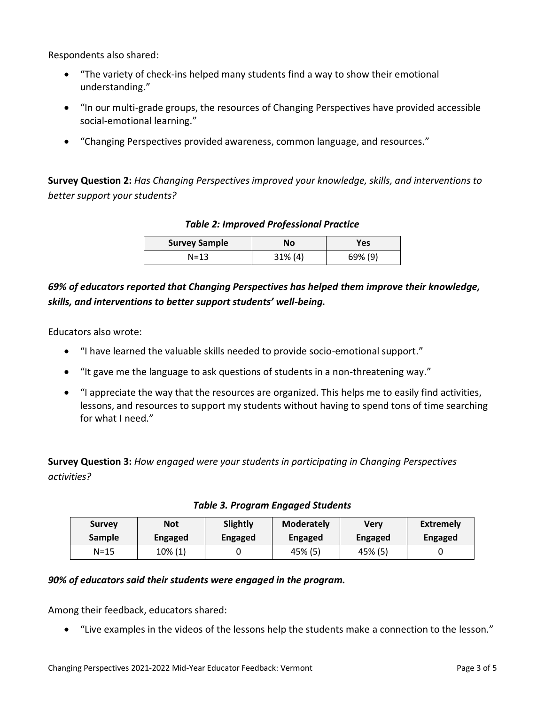Respondents also shared:

- "The variety of check-ins helped many students find a way to show their emotional understanding."
- "In our multi-grade groups, the resources of Changing Perspectives have provided accessible social-emotional learning."
- "Changing Perspectives provided awareness, common language, and resources."

**Survey Question 2:** *Has Changing Perspectives improved your knowledge, skills, and interventions to better support your students?*

#### *Table 2: Improved Professional Practice*

| <b>Survey Sample</b> | No         | Yes     |
|----------------------|------------|---------|
| N=13                 | $31\%$ (4) | 69% (9) |

## *69% of educators reported that Changing Perspectives has helped them improve their knowledge, skills, and interventions to better support students' well-being.*

Educators also wrote:

- "I have learned the valuable skills needed to provide socio-emotional support."
- "It gave me the language to ask questions of students in a non-threatening way."
- "I appreciate the way that the resources are organized. This helps me to easily find activities, lessons, and resources to support my students without having to spend tons of time searching for what I need."

**Survey Question 3:** *How engaged were your students in participating in Changing Perspectives activities?*

| <b>Survey</b> | <b>Not</b>     | Slightly       | <b>Moderately</b> | Verv           | <b>Extremely</b> |
|---------------|----------------|----------------|-------------------|----------------|------------------|
| <b>Sample</b> | <b>Engaged</b> | <b>Engaged</b> | <b>Engaged</b>    | <b>Engaged</b> | Engaged          |
| N=15          | 10% (1)        |                | 45% (5)           | 45% (5)        |                  |

#### *Table 3. Program Engaged Students*

#### *90% of educators said their students were engaged in the program.*

Among their feedback, educators shared:

• "Live examples in the videos of the lessons help the students make a connection to the lesson."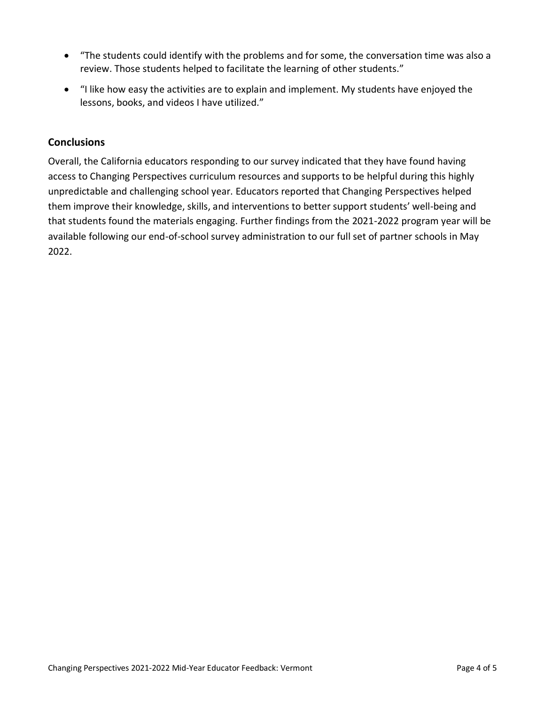- "The students could identify with the problems and for some, the conversation time was also a review. Those students helped to facilitate the learning of other students."
- "I like how easy the activities are to explain and implement. My students have enjoyed the lessons, books, and videos I have utilized."

### **Conclusions**

Overall, the California educators responding to our survey indicated that they have found having access to Changing Perspectives curriculum resources and supports to be helpful during this highly unpredictable and challenging school year. Educators reported that Changing Perspectives helped them improve their knowledge, skills, and interventions to better support students' well-being and that students found the materials engaging. Further findings from the 2021-2022 program year will be available following our end-of-school survey administration to our full set of partner schools in May 2022.